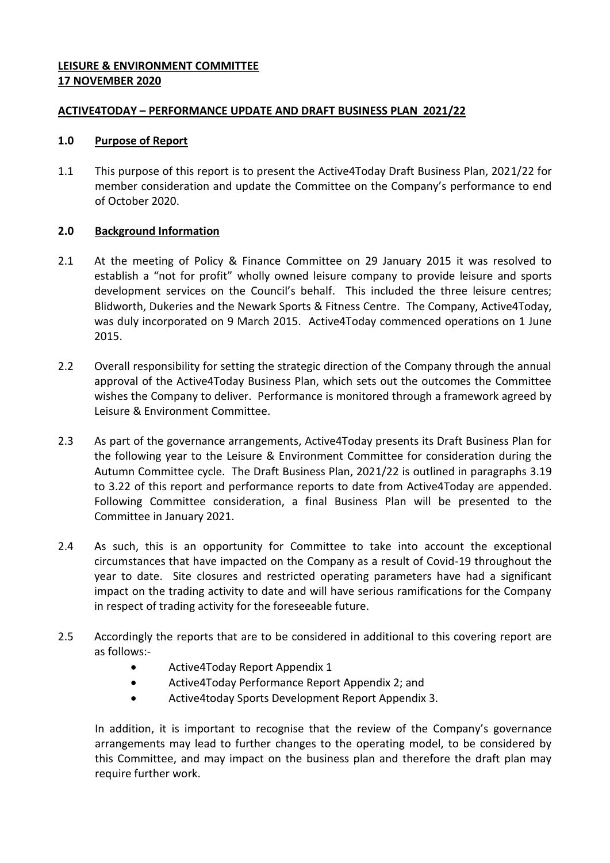## **LEISURE & ENVIRONMENT COMMITTEE 17 NOVEMBER 2020**

## **ACTIVE4TODAY – PERFORMANCE UPDATE AND DRAFT BUSINESS PLAN 2021/22**

### **1.0 Purpose of Report**

1.1 This purpose of this report is to present the Active4Today Draft Business Plan, 2021/22 for member consideration and update the Committee on the Company's performance to end of October 2020.

## **2.0 Background Information**

- 2.1 At the meeting of Policy & Finance Committee on 29 January 2015 it was resolved to establish a "not for profit" wholly owned leisure company to provide leisure and sports development services on the Council's behalf. This included the three leisure centres; Blidworth, Dukeries and the Newark Sports & Fitness Centre. The Company, Active4Today, was duly incorporated on 9 March 2015. Active4Today commenced operations on 1 June 2015.
- 2.2 Overall responsibility for setting the strategic direction of the Company through the annual approval of the Active4Today Business Plan, which sets out the outcomes the Committee wishes the Company to deliver. Performance is monitored through a framework agreed by Leisure & Environment Committee.
- 2.3 As part of the governance arrangements, Active4Today presents its Draft Business Plan for the following year to the Leisure & Environment Committee for consideration during the Autumn Committee cycle. The Draft Business Plan, 2021/22 is outlined in paragraphs 3.19 to 3.22 of this report and performance reports to date from Active4Today are appended. Following Committee consideration, a final Business Plan will be presented to the Committee in January 2021.
- 2.4 As such, this is an opportunity for Committee to take into account the exceptional circumstances that have impacted on the Company as a result of Covid-19 throughout the year to date. Site closures and restricted operating parameters have had a significant impact on the trading activity to date and will have serious ramifications for the Company in respect of trading activity for the foreseeable future.
- 2.5 Accordingly the reports that are to be considered in additional to this covering report are as follows:-
	- Active4Today Report Appendix 1
	- Active4Today Performance Report Appendix 2; and
	- Active4today Sports Development Report Appendix 3.

In addition, it is important to recognise that the review of the Company's governance arrangements may lead to further changes to the operating model, to be considered by this Committee, and may impact on the business plan and therefore the draft plan may require further work.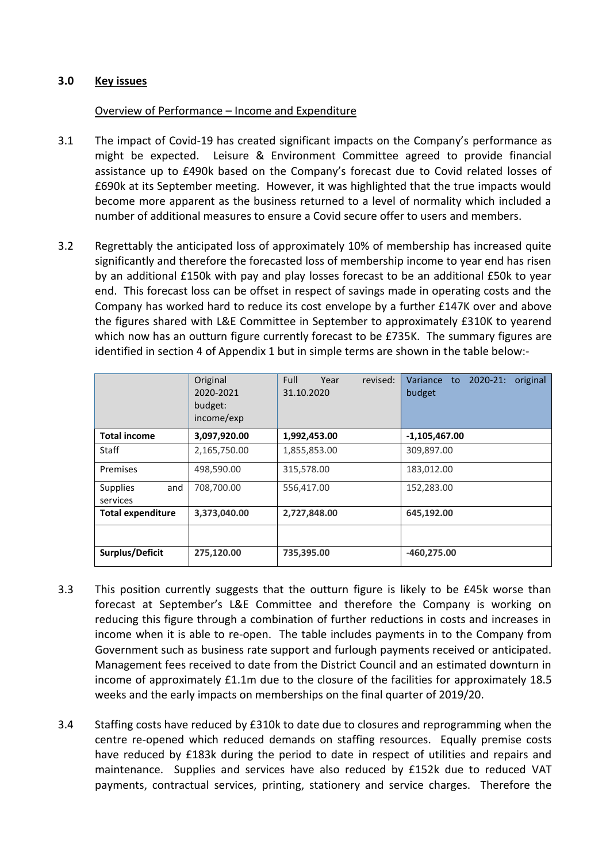## **3.0 Key issues**

#### Overview of Performance – Income and Expenditure

- 3.1 The impact of Covid-19 has created significant impacts on the Company's performance as might be expected. Leisure & Environment Committee agreed to provide financial assistance up to £490k based on the Company's forecast due to Covid related losses of £690k at its September meeting. However, it was highlighted that the true impacts would become more apparent as the business returned to a level of normality which included a number of additional measures to ensure a Covid secure offer to users and members.
- 3.2 Regrettably the anticipated loss of approximately 10% of membership has increased quite significantly and therefore the forecasted loss of membership income to year end has risen by an additional £150k with pay and play losses forecast to be an additional £50k to year end. This forecast loss can be offset in respect of savings made in operating costs and the Company has worked hard to reduce its cost envelope by a further £147K over and above the figures shared with L&E Committee in September to approximately £310K to yearend which now has an outturn figure currently forecast to be £735K. The summary figures are identified in section 4 of Appendix 1 but in simple terms are shown in the table below:-

|                                    | Original<br>2020-2021<br>budget:<br>income/exp | Full<br>revised:<br>Year<br>31.10.2020 | $2020 - 21:$<br>Variance to<br>original<br>budget |
|------------------------------------|------------------------------------------------|----------------------------------------|---------------------------------------------------|
| <b>Total income</b>                | 3,097,920.00                                   | 1,992,453.00                           | $-1,105,467.00$                                   |
| Staff                              | 2,165,750.00                                   | 1,855,853.00                           | 309,897.00                                        |
| Premises                           | 498,590.00                                     | 315,578.00                             | 183,012.00                                        |
| <b>Supplies</b><br>and<br>services | 708,700.00                                     | 556,417.00                             | 152,283.00                                        |
| <b>Total expenditure</b>           | 3,373,040.00                                   | 2,727,848.00                           | 645,192.00                                        |
|                                    |                                                |                                        |                                                   |
| Surplus/Deficit                    | 275,120.00                                     | 735,395.00                             | $-460,275.00$                                     |

- 3.3 This position currently suggests that the outturn figure is likely to be £45k worse than forecast at September's L&E Committee and therefore the Company is working on reducing this figure through a combination of further reductions in costs and increases in income when it is able to re-open. The table includes payments in to the Company from Government such as business rate support and furlough payments received or anticipated. Management fees received to date from the District Council and an estimated downturn in income of approximately £1.1m due to the closure of the facilities for approximately 18.5 weeks and the early impacts on memberships on the final quarter of 2019/20.
- 3.4 Staffing costs have reduced by £310k to date due to closures and reprogramming when the centre re-opened which reduced demands on staffing resources. Equally premise costs have reduced by £183k during the period to date in respect of utilities and repairs and maintenance. Supplies and services have also reduced by £152k due to reduced VAT payments, contractual services, printing, stationery and service charges. Therefore the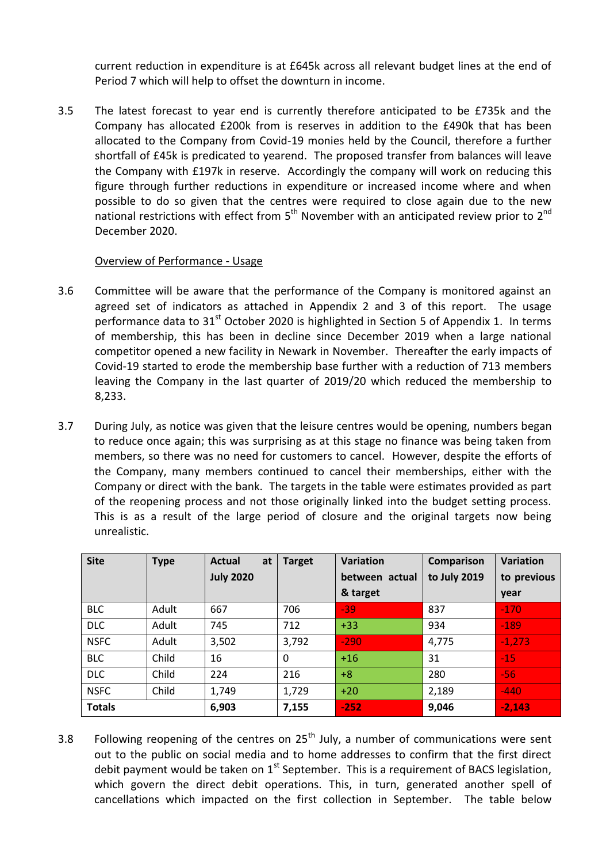current reduction in expenditure is at £645k across all relevant budget lines at the end of Period 7 which will help to offset the downturn in income.

3.5 The latest forecast to year end is currently therefore anticipated to be £735k and the Company has allocated £200k from is reserves in addition to the £490k that has been allocated to the Company from Covid-19 monies held by the Council, therefore a further shortfall of £45k is predicated to yearend. The proposed transfer from balances will leave the Company with £197k in reserve. Accordingly the company will work on reducing this figure through further reductions in expenditure or increased income where and when possible to do so given that the centres were required to close again due to the new national restrictions with effect from  $5<sup>th</sup>$  November with an anticipated review prior to  $2<sup>nd</sup>$ December 2020.

## Overview of Performance - Usage

- 3.6 Committee will be aware that the performance of the Company is monitored against an agreed set of indicators as attached in Appendix 2 and 3 of this report. The usage performance data to  $31<sup>st</sup>$  October 2020 is highlighted in Section 5 of Appendix 1. In terms of membership, this has been in decline since December 2019 when a large national competitor opened a new facility in Newark in November. Thereafter the early impacts of Covid-19 started to erode the membership base further with a reduction of 713 members leaving the Company in the last quarter of 2019/20 which reduced the membership to 8,233.
- 3.7 During July, as notice was given that the leisure centres would be opening, numbers began to reduce once again; this was surprising as at this stage no finance was being taken from members, so there was no need for customers to cancel. However, despite the efforts of the Company, many members continued to cancel their memberships, either with the Company or direct with the bank. The targets in the table were estimates provided as part of the reopening process and not those originally linked into the budget setting process. This is as a result of the large period of closure and the original targets now being unrealistic.

| <b>Site</b>   | <b>Type</b> | <b>Actual</b><br>at | <b>Target</b> | Variation      | Comparison   | <b>Variation</b> |  |
|---------------|-------------|---------------------|---------------|----------------|--------------|------------------|--|
|               |             | <b>July 2020</b>    |               | between actual | to July 2019 | to previous      |  |
|               |             |                     |               | & target       |              | year             |  |
| <b>BLC</b>    | Adult       | 667                 | 706           | $-39$          | 837          | $-170$           |  |
| <b>DLC</b>    | Adult       | 745                 | 712           | $+33$          | 934          | $-189$           |  |
| <b>NSFC</b>   | Adult       | 3,502               | 3,792         | $-290$         | 4,775        | $-1,273$         |  |
| <b>BLC</b>    | Child       | 16                  | $\Omega$      | $+16$          | 31           | $-15$            |  |
| <b>DLC</b>    | Child       | 224                 | 216           | $+8$           | 280          | $-56$            |  |
| <b>NSFC</b>   | Child       | 1,749               | 1,729         | $+20$          | 2,189        | $-440$           |  |
| <b>Totals</b> |             | 6,903               | 7,155         | $-252$         | 9,046        | $-2,143$         |  |

3.8 Following reopening of the centres on  $25^{th}$  July, a number of communications were sent out to the public on social media and to home addresses to confirm that the first direct debit payment would be taken on  $1<sup>st</sup>$  September. This is a requirement of BACS legislation, which govern the direct debit operations. This, in turn, generated another spell of cancellations which impacted on the first collection in September. The table below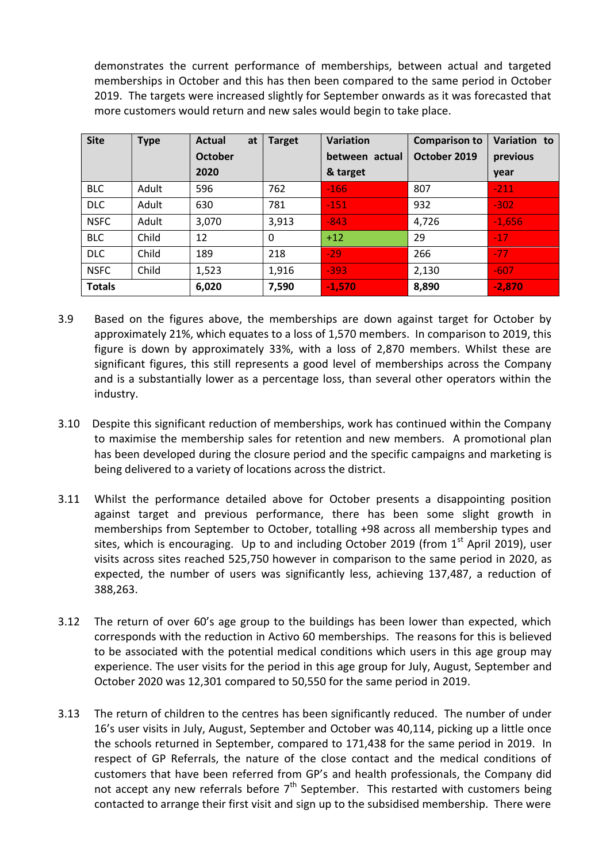demonstrates the current performance of memberships, between actual and targeted memberships in October and this has then been compared to the same period in October 2019. The targets were increased slightly for September onwards as it was forecasted that more customers would return and new sales would begin to take place.

| <b>Site</b>   | <b>Type</b> | Actual<br>at   | <b>Target</b> | <b>Variation</b> | <b>Comparison to</b> | Variation to |  |
|---------------|-------------|----------------|---------------|------------------|----------------------|--------------|--|
|               |             | <b>October</b> |               | between actual   | October 2019         | previous     |  |
|               |             | 2020           |               | & target         |                      | year         |  |
| <b>BLC</b>    | Adult       | 596            | 762           | $-166$           | 807                  | $-211$       |  |
| <b>DLC</b>    | Adult       | 630            | 781           | $-151$           | 932                  | $-302$       |  |
| <b>NSFC</b>   | Adult       | 3,070          | 3,913         | $-843$           | 4,726                | $-1,656$     |  |
| <b>BLC</b>    | Child       | 12             | $\Omega$      | $+12$            | 29                   | $-17$        |  |
| <b>DLC</b>    | Child       | 189            | 218           | $-29$            | 266                  | $-77$        |  |
| <b>NSFC</b>   | Child       | 1,523          | 1,916         | $-393$           | 2,130                | $-607$       |  |
| <b>Totals</b> |             | 6,020          | 7,590         | $-1,570$         | 8,890                | $-2,870$     |  |

- 3.9 Based on the figures above, the memberships are down against target for October by approximately 21%, which equates to a loss of 1,570 members. In comparison to 2019, this figure is down by approximately 33%, with a loss of 2,870 members. Whilst these are significant figures, this still represents a good level of memberships across the Company and is a substantially lower as a percentage loss, than several other operators within the industry.
- 3.10 Despite this significant reduction of memberships, work has continued within the Company to maximise the membership sales for retention and new members. A promotional plan has been developed during the closure period and the specific campaigns and marketing is being delivered to a variety of locations across the district.
- 3.11 Whilst the performance detailed above for October presents a disappointing position against target and previous performance, there has been some slight growth in memberships from September to October, totalling +98 across all membership types and sites, which is encouraging. Up to and including October 2019 (from  $1<sup>st</sup>$  April 2019), user visits across sites reached 525,750 however in comparison to the same period in 2020, as expected, the number of users was significantly less, achieving 137,487, a reduction of 388,263.
- 3.12 The return of over 60's age group to the buildings has been lower than expected, which corresponds with the reduction in Activo 60 memberships. The reasons for this is believed to be associated with the potential medical conditions which users in this age group may experience. The user visits for the period in this age group for July, August, September and October 2020 was 12,301 compared to 50,550 for the same period in 2019.
- 3.13 The return of children to the centres has been significantly reduced. The number of under 16's user visits in July, August, September and October was 40,114, picking up a little once the schools returned in September, compared to 171,438 for the same period in 2019. In respect of GP Referrals, the nature of the close contact and the medical conditions of customers that have been referred from GP's and health professionals, the Company did not accept any new referrals before  $7<sup>th</sup>$  September. This restarted with customers being contacted to arrange their first visit and sign up to the subsidised membership. There were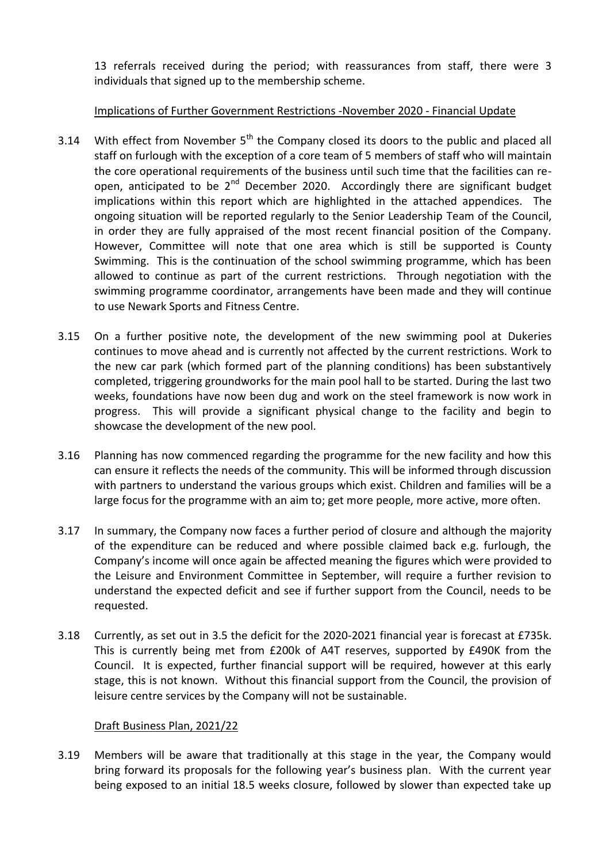13 referrals received during the period; with reassurances from staff, there were 3 individuals that signed up to the membership scheme.

## Implications of Further Government Restrictions -November 2020 - Financial Update

- 3.14 With effect from November  $5<sup>th</sup>$  the Company closed its doors to the public and placed all staff on furlough with the exception of a core team of 5 members of staff who will maintain the core operational requirements of the business until such time that the facilities can reopen, anticipated to be  $2^{nd}$  December 2020. Accordingly there are significant budget implications within this report which are highlighted in the attached appendices. The ongoing situation will be reported regularly to the Senior Leadership Team of the Council, in order they are fully appraised of the most recent financial position of the Company. However, Committee will note that one area which is still be supported is County Swimming. This is the continuation of the school swimming programme, which has been allowed to continue as part of the current restrictions. Through negotiation with the swimming programme coordinator, arrangements have been made and they will continue to use Newark Sports and Fitness Centre.
- 3.15 On a further positive note, the development of the new swimming pool at Dukeries continues to move ahead and is currently not affected by the current restrictions. Work to the new car park (which formed part of the planning conditions) has been substantively completed, triggering groundworks for the main pool hall to be started. During the last two weeks, foundations have now been dug and work on the steel framework is now work in progress. This will provide a significant physical change to the facility and begin to showcase the development of the new pool.
- 3.16 Planning has now commenced regarding the programme for the new facility and how this can ensure it reflects the needs of the community. This will be informed through discussion with partners to understand the various groups which exist. Children and families will be a large focus for the programme with an aim to; get more people, more active, more often.
- 3.17 In summary, the Company now faces a further period of closure and although the majority of the expenditure can be reduced and where possible claimed back e.g. furlough, the Company's income will once again be affected meaning the figures which were provided to the Leisure and Environment Committee in September, will require a further revision to understand the expected deficit and see if further support from the Council, needs to be requested.
- 3.18 Currently, as set out in 3.5 the deficit for the 2020-2021 financial year is forecast at £735k. This is currently being met from £200k of A4T reserves, supported by £490K from the Council. It is expected, further financial support will be required, however at this early stage, this is not known. Without this financial support from the Council, the provision of leisure centre services by the Company will not be sustainable.

#### Draft Business Plan, 2021/22

3.19 Members will be aware that traditionally at this stage in the year, the Company would bring forward its proposals for the following year's business plan. With the current year being exposed to an initial 18.5 weeks closure, followed by slower than expected take up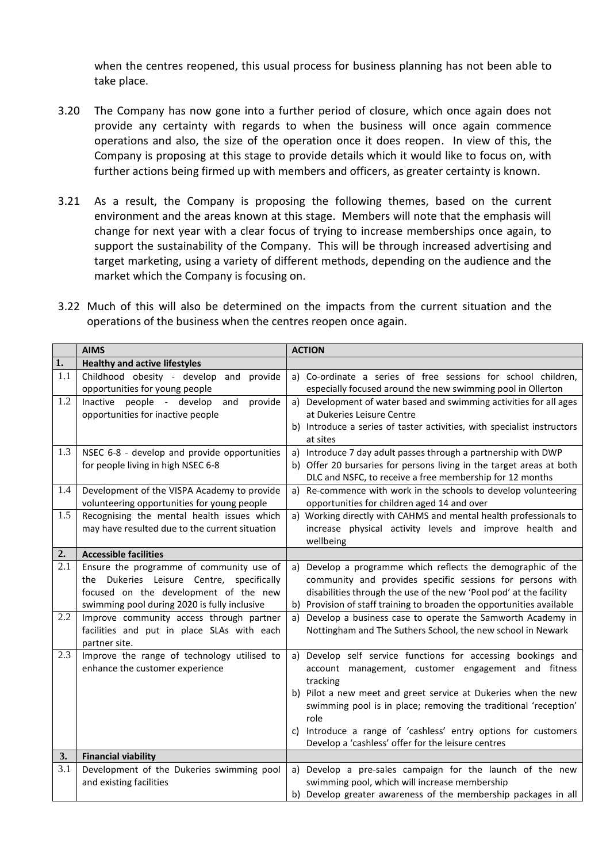when the centres reopened, this usual process for business planning has not been able to take place.

- 3.20 The Company has now gone into a further period of closure, which once again does not provide any certainty with regards to when the business will once again commence operations and also, the size of the operation once it does reopen. In view of this, the Company is proposing at this stage to provide details which it would like to focus on, with further actions being firmed up with members and officers, as greater certainty is known.
- 3.21 As a result, the Company is proposing the following themes, based on the current environment and the areas known at this stage. Members will note that the emphasis will change for next year with a clear focus of trying to increase memberships once again, to support the sustainability of the Company. This will be through increased advertising and target marketing, using a variety of different methods, depending on the audience and the market which the Company is focusing on.

|  |  |  | 3.22 Much of this will also be determined on the impacts from the current situation and the |  |  |  |  |  |
|--|--|--|---------------------------------------------------------------------------------------------|--|--|--|--|--|
|  |  |  | operations of the business when the centres reopen once again.                              |  |  |  |  |  |

|     | <b>AIMS</b>                                                                                                                                                                    | <b>ACTION</b>                                                                                                                                                                                                                                                                                                                                                                                              |
|-----|--------------------------------------------------------------------------------------------------------------------------------------------------------------------------------|------------------------------------------------------------------------------------------------------------------------------------------------------------------------------------------------------------------------------------------------------------------------------------------------------------------------------------------------------------------------------------------------------------|
| 1.  | <b>Healthy and active lifestyles</b>                                                                                                                                           |                                                                                                                                                                                                                                                                                                                                                                                                            |
| 1.1 | Childhood obesity - develop and<br>provide<br>opportunities for young people                                                                                                   | a) Co-ordinate a series of free sessions for school children,<br>especially focused around the new swimming pool in Ollerton                                                                                                                                                                                                                                                                               |
| 1.2 | Inactive people - develop<br>provide<br>and<br>opportunities for inactive people                                                                                               | Development of water based and swimming activities for all ages<br>a)<br>at Dukeries Leisure Centre<br>b) Introduce a series of taster activities, with specialist instructors<br>at sites                                                                                                                                                                                                                 |
| 1.3 | NSEC 6-8 - develop and provide opportunities<br>for people living in high NSEC 6-8                                                                                             | Introduce 7 day adult passes through a partnership with DWP<br>a)<br>b) Offer 20 bursaries for persons living in the target areas at both<br>DLC and NSFC, to receive a free membership for 12 months                                                                                                                                                                                                      |
| 1.4 | Development of the VISPA Academy to provide<br>volunteering opportunities for young people                                                                                     | a) Re-commence with work in the schools to develop volunteering<br>opportunities for children aged 14 and over                                                                                                                                                                                                                                                                                             |
| 1.5 | Recognising the mental health issues which<br>may have resulted due to the current situation                                                                                   | a) Working directly with CAHMS and mental health professionals to<br>increase physical activity levels and improve health and<br>wellbeing                                                                                                                                                                                                                                                                 |
| 2.  | <b>Accessible facilities</b>                                                                                                                                                   |                                                                                                                                                                                                                                                                                                                                                                                                            |
| 2.1 | Ensure the programme of community use of<br>the Dukeries Leisure Centre, specifically<br>focused on the development of the new<br>swimming pool during 2020 is fully inclusive | Develop a programme which reflects the demographic of the<br>a)<br>community and provides specific sessions for persons with<br>disabilities through the use of the new 'Pool pod' at the facility<br>Provision of staff training to broaden the opportunities available<br>b)                                                                                                                             |
| 2.2 | Improve community access through partner<br>facilities and put in place SLAs with each<br>partner site.                                                                        | Develop a business case to operate the Samworth Academy in<br>a)<br>Nottingham and The Suthers School, the new school in Newark                                                                                                                                                                                                                                                                            |
| 2.3 | Improve the range of technology utilised to<br>enhance the customer experience                                                                                                 | Develop self service functions for accessing bookings and<br>a)<br>account management, customer engagement and fitness<br>tracking<br>b) Pilot a new meet and greet service at Dukeries when the new<br>swimming pool is in place; removing the traditional 'reception'<br>role<br>Introduce a range of 'cashless' entry options for customers<br>C)<br>Develop a 'cashless' offer for the leisure centres |
| 3.  | <b>Financial viability</b>                                                                                                                                                     |                                                                                                                                                                                                                                                                                                                                                                                                            |
| 3.1 | Development of the Dukeries swimming pool<br>and existing facilities                                                                                                           | Develop a pre-sales campaign for the launch of the new<br>a)<br>swimming pool, which will increase membership<br>b) Develop greater awareness of the membership packages in all                                                                                                                                                                                                                            |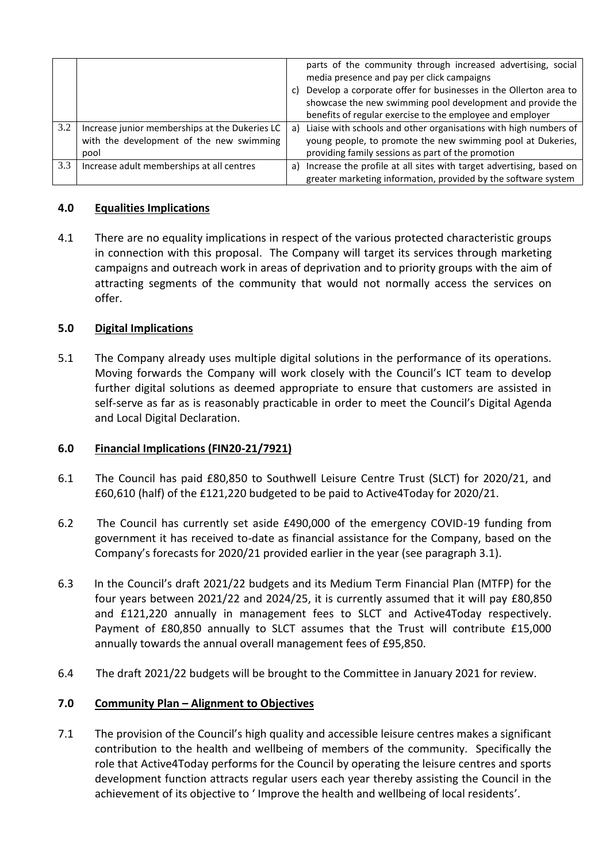|     |                                                | C) | parts of the community through increased advertising, social<br>media presence and pay per click campaigns<br>Develop a corporate offer for businesses in the Ollerton area to<br>showcase the new swimming pool development and provide the<br>benefits of regular exercise to the employee and employer |
|-----|------------------------------------------------|----|-----------------------------------------------------------------------------------------------------------------------------------------------------------------------------------------------------------------------------------------------------------------------------------------------------------|
| 3.2 | Increase junior memberships at the Dukeries LC | a) | Liaise with schools and other organisations with high numbers of                                                                                                                                                                                                                                          |
|     | with the development of the new swimming       |    | young people, to promote the new swimming pool at Dukeries,                                                                                                                                                                                                                                               |
|     | pool                                           |    | providing family sessions as part of the promotion                                                                                                                                                                                                                                                        |
| 3.3 | Increase adult memberships at all centres      | a) | Increase the profile at all sites with target advertising, based on                                                                                                                                                                                                                                       |
|     |                                                |    | greater marketing information, provided by the software system                                                                                                                                                                                                                                            |

## **4.0 Equalities Implications**

4.1 There are no equality implications in respect of the various protected characteristic groups in connection with this proposal. The Company will target its services through marketing campaigns and outreach work in areas of deprivation and to priority groups with the aim of attracting segments of the community that would not normally access the services on offer.

## **5.0 Digital Implications**

5.1 The Company already uses multiple digital solutions in the performance of its operations. Moving forwards the Company will work closely with the Council's ICT team to develop further digital solutions as deemed appropriate to ensure that customers are assisted in self-serve as far as is reasonably practicable in order to meet the Council's Digital Agenda and Local Digital Declaration.

#### **6.0 Financial Implications (FIN20-21/7921)**

- 6.1 The Council has paid £80,850 to Southwell Leisure Centre Trust (SLCT) for 2020/21, and £60,610 (half) of the £121,220 budgeted to be paid to Active4Today for 2020/21.
- 6.2 The Council has currently set aside £490,000 of the emergency COVID-19 funding from government it has received to-date as financial assistance for the Company, based on the Company's forecasts for 2020/21 provided earlier in the year (see paragraph 3.1).
- 6.3 In the Council's draft 2021/22 budgets and its Medium Term Financial Plan (MTFP) for the four years between 2021/22 and 2024/25, it is currently assumed that it will pay £80,850 and £121,220 annually in management fees to SLCT and Active4Today respectively. Payment of £80,850 annually to SLCT assumes that the Trust will contribute £15,000 annually towards the annual overall management fees of £95,850.
- 6.4 The draft 2021/22 budgets will be brought to the Committee in January 2021 for review.

#### **7.0 Community Plan – Alignment to Objectives**

7.1 The provision of the Council's high quality and accessible leisure centres makes a significant contribution to the health and wellbeing of members of the community. Specifically the role that Active4Today performs for the Council by operating the leisure centres and sports development function attracts regular users each year thereby assisting the Council in the achievement of its objective to ' Improve the health and wellbeing of local residents'.